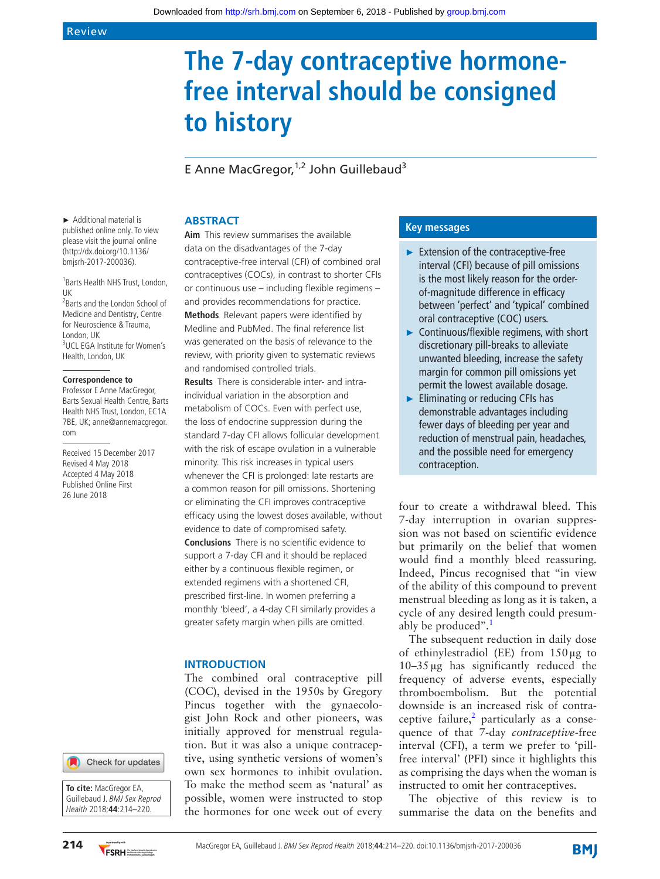# **The 7-day contraceptive hormonefree interval should be consigned to history**

E Anne MacGregor,  $1,2$  John Guillebaud<sup>3</sup>

► Additional material is published online only. To view please visit the journal online (http://dx.doi.org/10.1136/ bmjsrh-2017-200036).

1 Barts Health NHS Trust, London, UK <sup>2</sup>Barts and the London School of Medicine and Dentistry, Centre for Neuroscience & Trauma, London, UK 3 UCL EGA Institute for Women's Health, London, UK

#### **Correspondence to**

Professor E Anne MacGregor, Barts Sexual Health Centre, Barts Health NHS Trust, London, EC1A 7BE, UK; anne@annemacgregor. com

Received 15 December 2017 Revised 4 May 2018 Accepted 4 May 2018 Published Online First 26 June 2018



**To cite:** MacGregor EA, Guillebaud J. BMJ Sex Reprod Health 2018;**44**:214–220.

# **Abstract**

**Aim** This review summarises the available data on the disadvantages of the 7-day contraceptive-free interval (CFI) of combined oral contraceptives (COCs), in contrast to shorter CFIs or continuous use – including flexible regimens – and provides recommendations for practice. **Methods** Relevant papers were identified by Medline and PubMed. The final reference list was generated on the basis of relevance to the review, with priority given to systematic reviews and randomised controlled trials.

**Results** There is considerable inter- and intraindividual variation in the absorption and metabolism of COCs. Even with perfect use, the loss of endocrine suppression during the standard 7-day CFI allows follicular development with the risk of escape ovulation in a vulnerable minority. This risk increases in typical users whenever the CFI is prolonged: late restarts are a common reason for pill omissions. Shortening or eliminating the CFI improves contraceptive efficacy using the lowest doses available, without evidence to date of compromised safety. **Conclusions** There is no scientific evidence to support a 7-day CFI and it should be replaced either by a continuous flexible regimen, or extended regimens with a shortened CFI, prescribed first-line. In women preferring a monthly 'bleed', a 4-day CFI similarly provides a greater safety margin when pills are omitted.

## **Introduction**

The combined oral contraceptive pill (COC), devised in the 1950s by Gregory Pincus together with the gynaecologist John Rock and other pioneers, was initially approved for menstrual regulation. But it was also a unique contraceptive, using synthetic versions of women's own sex hormones to inhibit ovulation. To make the method seem as 'natural' as possible, women were instructed to stop the hormones for one week out of every

## **Key messages**

- ► Extension of the contraceptive-free interval (CFI) because of pill omissions is the most likely reason for the orderof-magnitude difference in efficacy between 'perfect' and 'typical' combined oral contraceptive (COC) users.
- ► Continuous/flexible regimens, with short discretionary pill-breaks to alleviate unwanted bleeding, increase the safety margin for common pill omissions yet permit the lowest available dosage.
- ► Eliminating or reducing CFIs has demonstrable advantages including fewer days of bleeding per year and reduction of menstrual pain, headaches, and the possible need for emergency contraception.

four to create a withdrawal bleed. This 7-day interruption in ovarian suppression was not based on scientific evidence but primarily on the belief that women would find a monthly bleed reassuring. Indeed, Pincus recognised that "in view of the ability of this compound to prevent menstrual bleeding as long as it is taken, a cycle of any desired length could presumably be produced".<sup>1</sup>

The subsequent reduction in daily dose of ethinylestradiol (EE) from  $150 \mu$ g to 10–35µg has significantly reduced the frequency of adverse events, especially thromboembolism. But the potential downside is an increased risk of contraceptive failure, $<sup>2</sup>$  $<sup>2</sup>$  $<sup>2</sup>$  particularly as a conse-</sup> quence of that 7-day *contraceptive*-free interval (CFI), a term we prefer to 'pillfree interval' (PFI) since it highlights this as comprising the days when the woman is instructed to omit her contraceptives.

The objective of this review is to summarise the data on the benefits and

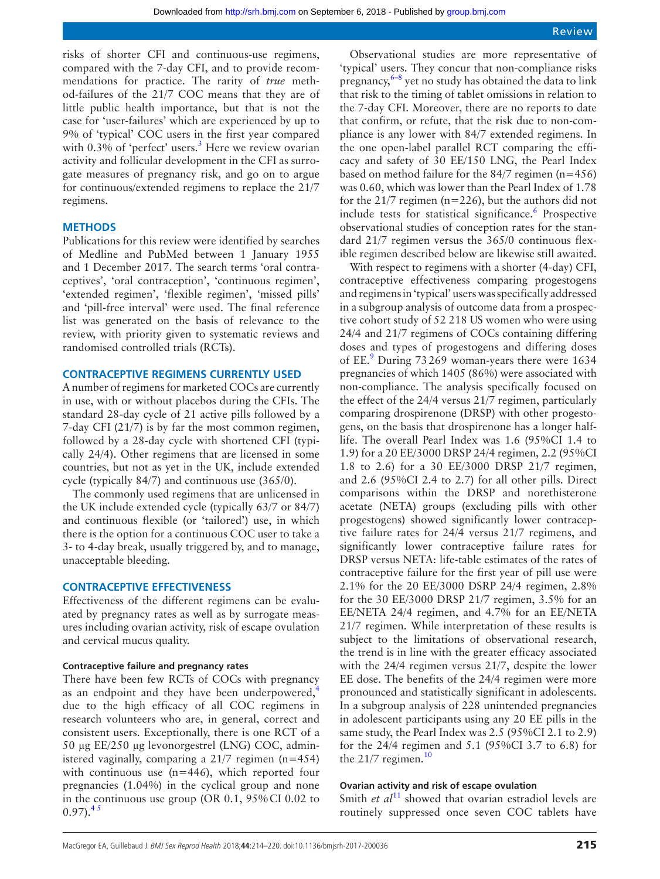risks of shorter CFI and continuous-use regimens, compared with the 7-day CFI, and to provide recommendations for practice. The rarity of *true* method-failures of the 21/7 COC means that they are of little public health importance, but that is not the case for 'user-failures' which are experienced by up to 9% of 'typical' COC users in the first year compared with 0.[3](#page-5-2)% of 'perfect' users.<sup>3</sup> Here we review ovarian activity and follicular development in the CFI as surrogate measures of pregnancy risk, and go on to argue for continuous/extended regimens to replace the 21/7 regimens.

## **Methods**

Publications for this review were identified by searches of Medline and PubMed between 1 January 1955 and 1 December 2017. The search terms 'oral contraceptives', 'oral contraception', 'continuous regimen', 'extended regimen', 'flexible regimen', 'missed pills' and 'pill-free interval' were used. The final reference list was generated on the basis of relevance to the review, with priority given to systematic reviews and randomised controlled trials (RCTs).

### **CONTRACEPTIVE REGIMENS CURRENTLY USED**

A number of regimens for marketed COCs are currently in use, with or without placebos during the CFIs. The standard 28-day cycle of 21 active pills followed by a 7-day CFI (21/7) is by far the most common regimen, followed by a 28-day cycle with shortened CFI (typically 24/4). Other regimens that are licensed in some countries, but not as yet in the UK, include extended cycle (typically 84/7) and continuous use (365/0).

The commonly used regimens that are unlicensed in the UK include extended cycle (typically 63/7 or 84/7) and continuous flexible (or 'tailored') use, in which there is the option for a continuous COC user to take a 3- to 4-day break, usually triggered by, and to manage, unacceptable bleeding.

#### **Contraceptive effectiveness**

Effectiveness of the different regimens can be evaluated by pregnancy rates as well as by surrogate measures including ovarian activity, risk of escape ovulation and cervical mucus quality.

# **Contraceptive failure and pregnancy rates**

There have been few RCTs of COCs with pregnancy as an endpoint and they have been underpowered, $4$ due to the high efficacy of all COC regimens in research volunteers who are, in general, correct and consistent users. Exceptionally, there is one RCT of a 50 µg EE/250 µg levonorgestrel (LNG) COC, administered vaginally, comparing a 21/7 regimen (n=454) with continuous use (n=446), which reported four pregnancies (1.04%) in the cyclical group and none in the continuous use group (OR 0.1, 95%CI 0.02 to  $0.97$ .<sup>45</sup>

Observational studies are more representative of 'typical' users. They concur that non-compliance risks pregnancy, $6-8$  yet no study has obtained the data to link that risk to the timing of tablet omissions in relation to the 7-day CFI. Moreover, there are no reports to date that confirm, or refute, that the risk due to non-compliance is any lower with 84/7 extended regimens. In the one open-label parallel RCT comparing the efficacy and safety of 30 EE/150 LNG, the Pearl Index based on method failure for the 84/7 regimen (n=456) was 0.60, which was lower than the Pearl Index of 1.78 for the 21/7 regimen ( $n=226$ ), but the authors did not include tests for statistical significance.<sup>[6](#page-5-4)</sup> Prospective observational studies of conception rates for the standard 21/7 regimen versus the 365/0 continuous flexible regimen described below are likewise still awaited.

With respect to regimens with a shorter (4-day) CFI, contraceptive effectiveness comparing progestogens and regimens in 'typical' users was specifically addressed in a subgroup analysis of outcome data from a prospective cohort study of 52 218 US women who were using 24/4 and 21/7 regimens of COCs containing differing doses and types of progestogens and differing doses of EE.<sup>[9](#page-5-5)</sup> During 73 269 woman-years there were 1634 pregnancies of which 1405 (86%) were associated with non-compliance. The analysis specifically focused on the effect of the 24/4 versus 21/7 regimen, particularly comparing drospirenone (DRSP) with other progestogens, on the basis that drospirenone has a longer halflife. The overall Pearl Index was 1.6 (95%CI 1.4 to 1.9) for a 20 EE/3000 DRSP 24/4 regimen, 2.2 (95%CI 1.8 to 2.6) for a 30 EE/3000 DRSP 21/7 regimen, and 2.6 (95%CI 2.4 to 2.7) for all other pills. Direct comparisons within the DRSP and norethisterone acetate (NETA) groups (excluding pills with other progestogens) showed significantly lower contraceptive failure rates for 24/4 versus 21/7 regimens, and significantly lower contraceptive failure rates for DRSP versus NETA: life-table estimates of the rates of contraceptive failure for the first year of pill use were 2.1% for the 20 EE/3000 DSRP 24/4 regimen, 2.8% for the 30 EE/3000 DRSP 21/7 regimen, 3.5% for an EE/NETA 24/4 regimen, and 4.7% for an EE/NETA 21/7 regimen. While interpretation of these results is subject to the limitations of observational research, the trend is in line with the greater efficacy associated with the 24/4 regimen versus 21/7, despite the lower EE dose. The benefits of the 24/4 regimen were more pronounced and statistically significant in adolescents. In a subgroup analysis of 228 unintended pregnancies in adolescent participants using any 20 EE pills in the same study, the Pearl Index was 2.5 (95%CI 2.1 to 2.9) for the 24/4 regimen and 5.1 (95%CI 3.7 to 6.8) for the  $21/7$  regimen.<sup>[10](#page-5-6)</sup>

#### **Ovarian activity and risk of escape ovulation**

Smith *et al*<sup>11</sup> showed that ovarian estradiol levels are routinely suppressed once seven COC tablets have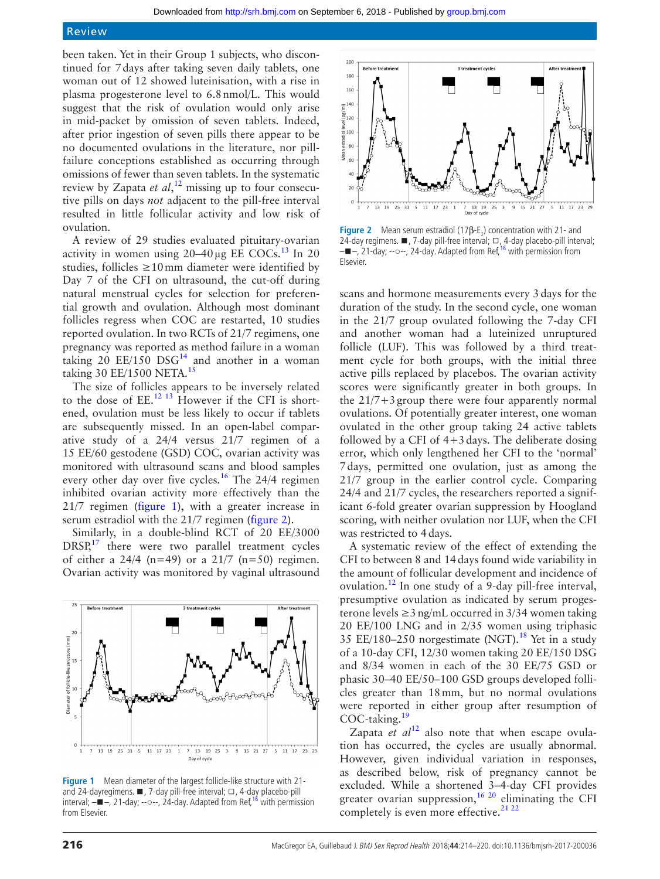# Review

been taken. Yet in their Group 1 subjects, who discontinued for 7days after taking seven daily tablets, one woman out of 12 showed luteinisation, with a rise in plasma progesterone level to 6.8nmol/L. This would suggest that the risk of ovulation would only arise in mid-packet by omission of seven tablets. Indeed, after prior ingestion of seven pills there appear to be no documented ovulations in the literature, nor pillfailure conceptions established as occurring through omissions of fewer than seven tablets. In the systematic review by Zapata *et al*, [12](#page-5-9) missing up to four consecutive pills on days *not* adjacent to the pill-free interval resulted in little follicular activity and low risk of ovulation.

A review of 29 studies evaluated pituitary-ovarian activity in women using  $20-40 \mu$ g EE COCs.<sup>13</sup> In 20 studies, follicles  $\geq 10$  mm diameter were identified by Day 7 of the CFI on ultrasound, the cut-off during natural menstrual cycles for selection for preferential growth and ovulation. Although most dominant follicles regress when COC are restarted, 10 studies reported ovulation. In two RCTs of 21/7 regimens, one pregnancy was reported as method failure in a woman taking 20  $EE/150$  DSG<sup>[14](#page-5-11)</sup> and another in a woman taking 30 EE/[15](#page-5-12)00 NETA.<sup>15</sup>

The size of follicles appears to be inversely related to the dose of  $EE$ .<sup>[12 13](#page-5-9)</sup> However if the CFI is shortened, ovulation must be less likely to occur if tablets are subsequently missed. In an open-label comparative study of a 24/4 versus 21/7 regimen of a 15 EE/60 gestodene (GSD) COC, ovarian activity was monitored with ultrasound scans and blood samples every other day over five cycles.<sup>[16](#page-5-8)</sup> The 24/4 regimen inhibited ovarian activity more effectively than the 21/7 regimen [\(figure](#page-2-0) 1), with a greater increase in serum estradiol with the 21/7 regimen [\(figure](#page-2-1) 2).

Similarly, in a double-blind RCT of 20 EE/3000  $DRSP<sub>1</sub><sup>17</sup>$  there were two parallel treatment cycles of either a  $24/4$  (n=49) or a  $21/7$  (n=50) regimen. Ovarian activity was monitored by vaginal ultrasound



<span id="page-2-0"></span>**Figure 1** Mean diameter of the largest follicle-like structure with 21- and 24-dayregimens. ■, 7-day pill-free interval; ロ, 4-day placebo-pill<br>interval; —■—, 21-day; --○--, 24-day. Adapted from Ref, <sup>[16](#page-5-8)</sup> with permission from Elsevier.



<span id="page-2-1"></span>**Figure 2** Mean serum estradiol (17β- $E_2$ ) concentration with 21- and 24-day regimens. ■, 7-day pill-free interval; □, 4-day placebo-pill interval;<br>—■—, 21-day; --○--, 24-day. Adapted from Ref, <sup>i6</sup> with permission from Elsevier.

scans and hormone measurements every 3days for the duration of the study. In the second cycle, one woman in the 21/7 group ovulated following the 7-day CFI and another woman had a luteinized unruptured follicle (LUF). This was followed by a third treatment cycle for both groups, with the initial three active pills replaced by placebos. The ovarian activity scores were significantly greater in both groups. In the 21/7+3group there were four apparently normal ovulations. Of potentially greater interest, one woman ovulated in the other group taking 24 active tablets followed by a CFI of  $4+3$  days. The deliberate dosing error, which only lengthened her CFI to the 'normal' 7days, permitted one ovulation, just as among the 21/7 group in the earlier control cycle. Comparing 24/4 and 21/7 cycles, the researchers reported a significant 6-fold greater ovarian suppression by Hoogland scoring, with neither ovulation nor LUF, when the CFI was restricted to 4days.

A systematic review of the effect of extending the CFI to between 8 and 14days found wide variability in the amount of follicular development and incidence of ovulation.[12](#page-5-9) In one study of a 9-day pill-free interval, presumptive ovulation as indicated by serum progesterone levels  $\geq$ 3 ng/mL occurred in 3/34 women taking 20 EE/100 LNG and in 2/35 women using triphasic 35 EE/180–250 norgestimate (NGT).<sup>18</sup> Yet in a study of a 10-day CFI, 12/30 women taking 20 EE/150 DSG and 8/34 women in each of the 30 EE/75 GSD or phasic 30–40 EE/50–100 GSD groups developed follicles greater than 18mm, but no normal ovulations were reported in either group after resumption of COC-taking.<sup>[19](#page-6-2)</sup>

Zapata *et al*<sup>12</sup> also note that when escape ovulation has occurred, the cycles are usually abnormal. However, given individual variation in responses, as described below, risk of pregnancy cannot be excluded. While a shortened 3–4-day CFI provides greater ovarian suppression,  $1620$  eliminating the CFI completely is even more effective.<sup>[21 22](#page-6-3)</sup>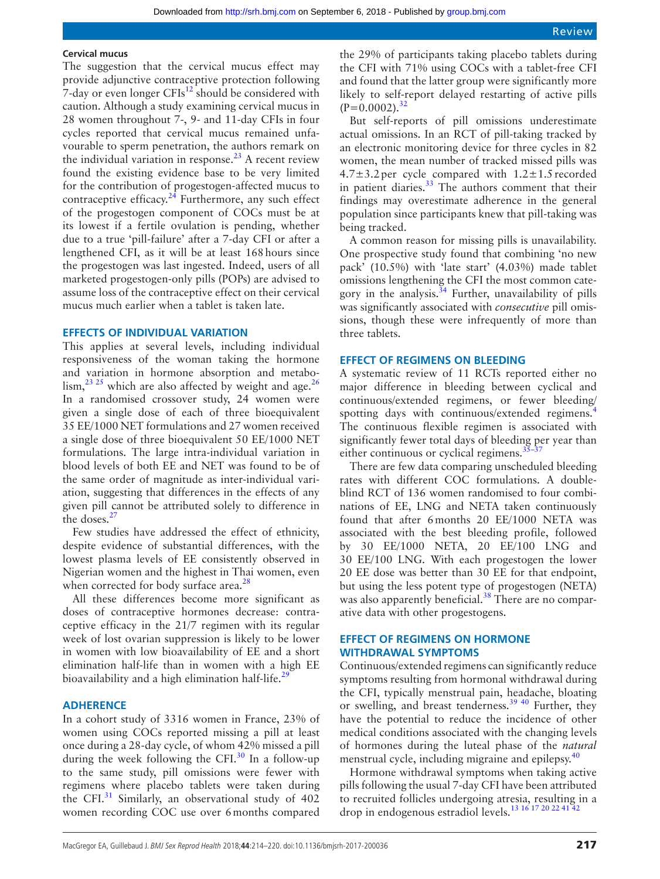#### **Cervical mucus**

The suggestion that the cervical mucus effect may provide adjunctive contraceptive protection following 7-day or even longer  $CFIs^{12}$  should be considered with caution. Although a study examining cervical mucus in 28 women throughout 7-, 9- and 11-day CFIs in four cycles reported that cervical mucus remained unfavourable to sperm penetration, the authors remark on the individual variation in response.<sup>[23](#page-6-4)</sup> A recent review found the existing evidence base to be very limited for the contribution of progestogen-affected mucus to contraceptive efficacy. $24$  Furthermore, any such effect of the progestogen component of COCs must be at its lowest if a fertile ovulation is pending, whether due to a true 'pill-failure' after a 7-day CFI or after a lengthened CFI, as it will be at least 168hours since the progestogen was last ingested. Indeed, users of all marketed progestogen-only pills (POPs) are advised to assume loss of the contraceptive effect on their cervical mucus much earlier when a tablet is taken late.

#### **Effects of individual variation**

This applies at several levels, including individual responsiveness of the woman taking the hormone and variation in hormone absorption and metabo- $\lim_{n \to \infty}$ <sup>23 25</sup> which are also affected by weight and age.<sup>26</sup> In a randomised crossover study, 24 women were given a single dose of each of three bioequivalent 35 EE/1000 NET formulations and 27 women received a single dose of three bioequivalent 50 EE/1000 NET formulations. The large intra-individual variation in blood levels of both EE and NET was found to be of the same order of magnitude as inter-individual variation, suggesting that differences in the effects of any given pill cannot be attributed solely to difference in the doses.<sup>[27](#page-6-7)</sup>

Few studies have addressed the effect of ethnicity, despite evidence of substantial differences, with the lowest plasma levels of EE consistently observed in Nigerian women and the highest in Thai women, even when corrected for body surface area. $28$ 

All these differences become more significant as doses of contraceptive hormones decrease: contraceptive efficacy in the 21/7 regimen with its regular week of lost ovarian suppression is likely to be lower in women with low bioavailability of EE and a short elimination half-life than in women with a high EE bioavailability and a high elimination half-life.<sup>29</sup>

#### **Adherence**

In a cohort study of 3316 women in France, 23% of women using COCs reported missing a pill at least once during a 28-day cycle, of whom 42% missed a pill during the week following the CFI. $30$  In a follow-up to the same study, pill omissions were fewer with regimens where placebo tablets were taken during the CFI. $31$  Similarly, an observational study of 402 women recording COC use over 6months compared

the 29% of participants taking placebo tablets during the CFI with 71% using COCs with a tablet-free CFI and found that the latter group were significantly more likely to self-report delayed restarting of active pills  $(P=0.0002).$ <sup>[32](#page-6-12)</sup>

But self-reports of pill omissions underestimate actual omissions. In an RCT of pill-taking tracked by an electronic monitoring device for three cycles in 82 women, the mean number of tracked missed pills was  $4.7\pm3.2$  per cycle compared with  $1.2\pm1.5$  recorded in patient diaries.<sup>33</sup> The authors comment that their findings may overestimate adherence in the general population since participants knew that pill-taking was being tracked.

A common reason for missing pills is unavailability. One prospective study found that combining 'no new pack' (10.5%) with 'late start' (4.03%) made tablet omissions lengthening the CFI the most common category in the analysis. $34$  Further, unavailability of pills was significantly associated with *consecutive* pill omissions, though these were infrequently of more than three tablets.

#### **Effect of regimens on bleeding**

A systematic review of 11 RCTs reported either no major difference in bleeding between cyclical and continuous/extended regimens, or fewer bleeding/ spotting days with continuous/extended regimens.<sup>4</sup> The continuous flexible regimen is associated with significantly fewer total days of bleeding per year than either continuous or cyclical regimens. $35$ 

There are few data comparing unscheduled bleeding rates with different COC formulations. A doubleblind RCT of 136 women randomised to four combinations of EE, LNG and NETA taken continuously found that after 6months 20 EE/1000 NETA was associated with the best bleeding profile, followed by 30 EE/1000 NETA, 20 EE/100 LNG and 30 EE/100 LNG. With each progestogen the lower 20 EE dose was better than 30 EE for that endpoint, but using the less potent type of progestogen (NETA) was also apparently beneficial. $38$  There are no comparative data with other progestogens.

# **Effect of regimens on hormone withdrawal symptoms**

Continuous/extended regimens can significantly reduce symptoms resulting from hormonal withdrawal during the CFI, typically menstrual pain, headache, bloating or swelling, and breast tenderness.[39 40](#page-6-17) Further, they have the potential to reduce the incidence of other medical conditions associated with the changing levels of hormones during the luteal phase of the *natural* menstrual cycle, including migraine and epilepsy.<sup>40</sup>

Hormone withdrawal symptoms when taking active pills following the usual 7-day CFI have been attributed to recruited follicles undergoing atresia, resulting in a drop in endogenous estradiol levels.[13 16 17 20 22 41 42](#page-5-10)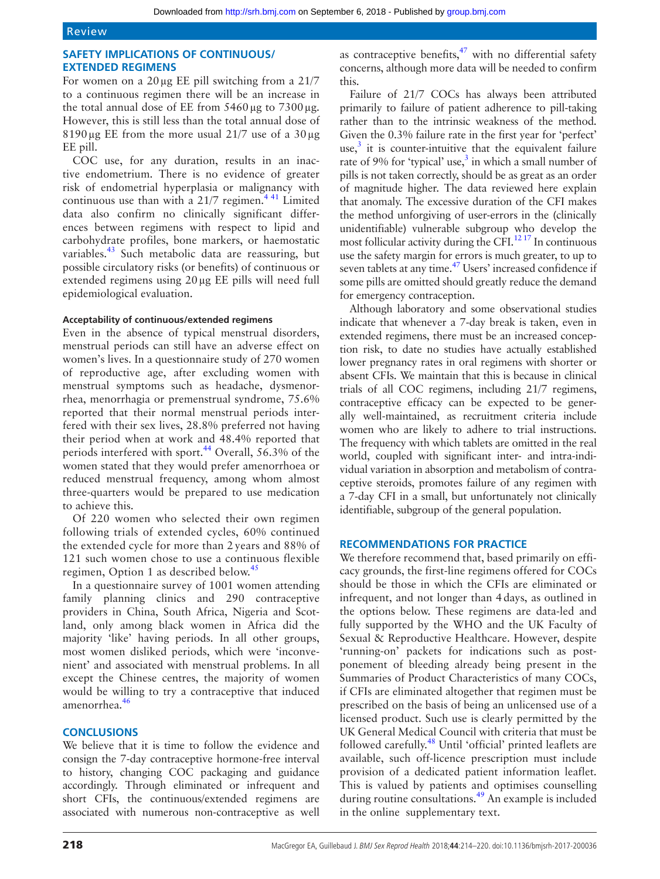# **Safety implications of continuous/ extended regimens**

For women on a  $20 \mu$ g EE pill switching from a  $21/7$ to a continuous regimen there will be an increase in the total annual dose of EE from  $5460 \mu$ g to  $7300 \mu$ g. However, this is still less than the total annual dose of 8190 µg EE from the more usual  $21/7$  use of a  $30 \mu$ g EE pill.

COC use, for any duration, results in an inactive endometrium. There is no evidence of greater risk of endometrial hyperplasia or malignancy with continuous use than with a  $21/7$  regimen.<sup>441</sup> Limited data also confirm no clinically significant differences between regimens with respect to lipid and carbohydrate profiles, bone markers, or haemostatic variables.<sup>43</sup> Such metabolic data are reassuring, but possible circulatory risks (or benefits) of continuous or extended regimens using 20µg EE pills will need full epidemiological evaluation.

# **Acceptability of continuous/extended regimens**

Even in the absence of typical menstrual disorders, menstrual periods can still have an adverse effect on women's lives. In a questionnaire study of 270 women of reproductive age, after excluding women with menstrual symptoms such as headache, dysmenorrhea, menorrhagia or premenstrual syndrome, 75.6% reported that their normal menstrual periods interfered with their sex lives, 28.8% preferred not having their period when at work and 48.4% reported that periods interfered with sport.<sup>44</sup> Overall,  $56.3\%$  of the women stated that they would prefer amenorrhoea or reduced menstrual frequency, among whom almost three-quarters would be prepared to use medication to achieve this.

Of 220 women who selected their own regimen following trials of extended cycles, 60% continued the extended cycle for more than 2 years and 88% of 121 such women chose to use a continuous flexible regimen, Option 1 as described below.<sup>[45](#page-6-21)</sup>

In a questionnaire survey of 1001 women attending family planning clinics and 290 contraceptive providers in China, South Africa, Nigeria and Scotland, only among black women in Africa did the majority 'like' having periods. In all other groups, most women disliked periods, which were 'inconvenient' and associated with menstrual problems. In all except the Chinese centres, the majority of women would be willing to try a contraceptive that induced amenorrhea.<sup>46</sup>

# **Conclusions**

We believe that it is time to follow the evidence and consign the 7-day contraceptive hormone-free interval to history, changing COC packaging and guidance accordingly. Through eliminated or infrequent and short CFIs, the continuous/extended regimens are associated with numerous non-contraceptive as well as contraceptive benefits, $1/2$  with no differential safety concerns, although more data will be needed to confirm this.

Failure of 21/7 COCs has always been attributed primarily to failure of patient adherence to pill-taking rather than to the intrinsic weakness of the method. Given the 0.3% failure rate in the first year for 'perfect' use, $3$  it is counter-intuitive that the equivalent failure rate of 9% for 'typical' use, $3$  in which a small number of pills is not taken correctly, should be as great as an order of magnitude higher. The data reviewed here explain that anomaly. The excessive duration of the CFI makes the method unforgiving of user-errors in the (clinically unidentifiable) vulnerable subgroup who develop the most follicular activity during the CFI.[12 17](#page-5-9) In continuous use the safety margin for errors is much greater, to up to seven tablets at any time.<sup>47</sup> Users' increased confidence if some pills are omitted should greatly reduce the demand for emergency contraception.

Although laboratory and some observational studies indicate that whenever a 7-day break is taken, even in extended regimens, there must be an increased conception risk, to date no studies have actually established lower pregnancy rates in oral regimens with shorter or absent CFIs. We maintain that this is because in clinical trials of all COC regimens, including 21/7 regimens, contraceptive efficacy can be expected to be generally well-maintained, as recruitment criteria include women who are likely to adhere to trial instructions. The frequency with which tablets are omitted in the real world, coupled with significant inter- and intra-individual variation in absorption and metabolism of contraceptive steroids, promotes failure of any regimen with a 7-day CFI in a small, but unfortunately not clinically identifiable, subgroup of the general population.

# **Recommendations for practice**

We therefore recommend that, based primarily on efficacy grounds, the first-line regimens offered for COCs should be those in which the CFIs are eliminated or infrequent, and not longer than 4days, as outlined in the options below. These regimens are data-led and fully supported by the WHO and the UK Faculty of Sexual & Reproductive Healthcare. However, despite 'running-on' packets for indications such as postponement of bleeding already being present in the Summaries of Product Characteristics of many COCs, if CFIs are eliminated altogether that regimen must be prescribed on the basis of being an unlicensed use of a licensed product. Such use is clearly permitted by the UK General Medical Council with criteria that must be followed carefully.<sup>[48](#page-6-24)</sup> Until 'official' printed leaflets are available, such off-licence prescription must include provision of a dedicated patient information leaflet. This is valued by patients and optimises counselling during routine consultations. $49$  An example is included in the online [supplementary text.](https://dx.doi.org/10.1136/bmjsrh-2017-200036)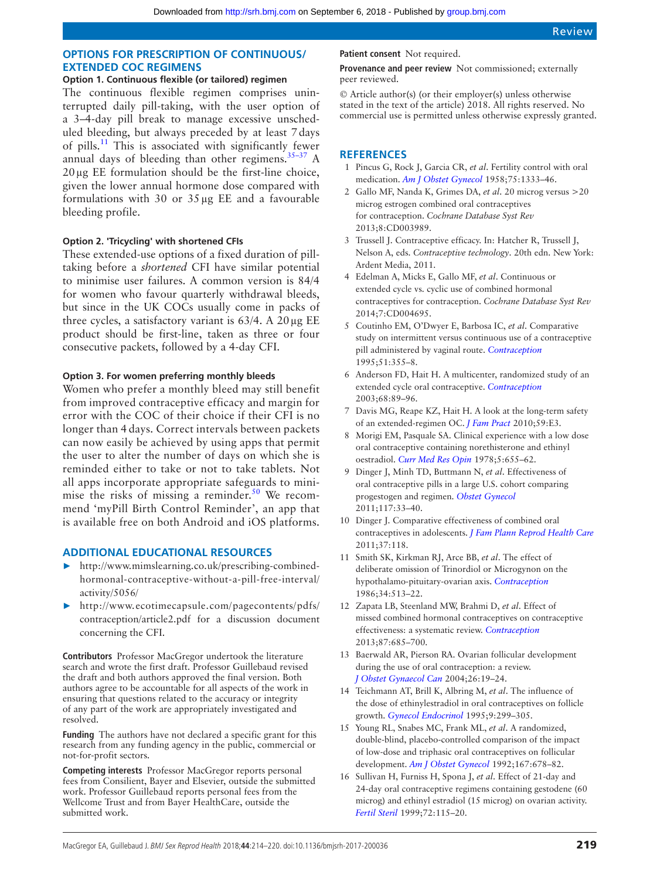# **Options for prescription of continuous/ extended COC regimens**

# **Option 1. Continuous flexible (or tailored) regimen**

The continuous flexible regimen comprises uninterrupted daily pill-taking, with the user option of a 3–4-day pill break to manage excessive unscheduled bleeding, but always preceded by at least 7days of pills[.11](#page-5-7) This is associated with significantly fewer annual days of bleeding than other regimens. $35-37$  A 20µg EE formulation should be the first-line choice, given the lower annual hormone dose compared with formulations with 30 or  $35 \mu$ g EE and a favourable bleeding profile.

## **Option 2. 'Tricycling' with shortened CFIs**

These extended-use options of a fixed duration of pilltaking before a *shortened* CFI have similar potential to minimise user failures. A common version is 84/4 for women who favour quarterly withdrawal bleeds, but since in the UK COCs usually come in packs of three cycles, a satisfactory variant is  $63/4$ . A 20  $\mu$ g EE product should be first-line, taken as three or four consecutive packets, followed by a 4-day CFI.

## **Option 3. For women preferring monthly bleeds**

Women who prefer a monthly bleed may still benefit from improved contraceptive efficacy and margin for error with the COC of their choice if their CFI is no longer than 4 days. Correct intervals between packets can now easily be achieved by using apps that permit the user to alter the number of days on which she is reminded either to take or not to take tablets. Not all apps incorporate appropriate safeguards to minimise the risks of missing a reminder.<sup>50</sup> We recommend 'myPill Birth Control Reminder', an app that is available free on both Android and iOS platforms.

# **Additional educational resources**

- ► [http://www.mimslearning.co.uk/prescribing-combined](http://www.mimslearning.co.uk/prescribing-combined-hormonal-contraceptive-without-a-pill-free-interval/activity/5056/)[hormonal-contraceptive-without-a-pill-free-interval/](http://www.mimslearning.co.uk/prescribing-combined-hormonal-contraceptive-without-a-pill-free-interval/activity/5056/) [activity/5056/](http://www.mimslearning.co.uk/prescribing-combined-hormonal-contraceptive-without-a-pill-free-interval/activity/5056/)
- ► [http://www.ecotimecapsule.com/pagecontents/pdfs/](http://www.ecotimecapsule.com/pagecontents/pdfs/contraception/article2.pdf) [contraception/article2.pdf](http://www.ecotimecapsule.com/pagecontents/pdfs/contraception/article2.pdf) for a discussion document concerning the CFI.

**Contributors** Professor MacGregor undertook the literature search and wrote the first draft. Professor Guillebaud revised the draft and both authors approved the final version. Both authors agree to be accountable for all aspects of the work in ensuring that questions related to the accuracy or integrity of any part of the work are appropriately investigated and resolved.

**Funding** The authors have not declared a specific grant for this research from any funding agency in the public, commercial or not-for-profit sectors.

**Competing interests** Professor MacGregor reports personal fees from Consilient, Bayer and Elsevier, outside the submitted work. Professor Guillebaud reports personal fees from the Wellcome Trust and from Bayer HealthCare, outside the submitted work.

#### **Patient consent** Not required.

**Provenance and peer review** Not commissioned; externally peer reviewed.

© Article author(s) (or their employer(s) unless otherwise stated in the text of the article) 2018. All rights reserved. No commercial use is permitted unless otherwise expressly granted.

# **References**

- <span id="page-5-0"></span>1 Pincus G, Rock J, Garcia CR, *et al*. Fertility control with oral medication. *[Am J Obstet Gynecol](http://dx.doi.org/10.1016/0002-9378(58)90722-1)* 1958;75:1333–46.
- <span id="page-5-1"></span>2 Gallo MF, Nanda K, Grimes DA, *et al*. 20 microg versus >20 microg estrogen combined oral contraceptives for contraception. *Cochrane Database Syst Rev* 2013;8:CD003989.
- <span id="page-5-2"></span>3 Trussell J. Contraceptive efficacy. In: Hatcher R, Trussell J, Nelson A, eds. *Contraceptive technology*. 20th edn. New York: Ardent Media, 2011.
- <span id="page-5-3"></span>4 Edelman A, Micks E, Gallo MF, *et al*. Continuous or extended cycle vs. cyclic use of combined hormonal contraceptives for contraception. *Cochrane Database Syst Rev* 2014;7:CD004695.
- 5 Coutinho EM, O'Dwyer E, Barbosa IC, *et al*. Comparative study on intermittent versus continuous use of a contraceptive pill administered by vaginal route. *[Contraception](http://dx.doi.org/10.1016/0010-7824(95)00101-F)* 1995;51:355–8.
- <span id="page-5-4"></span>6 Anderson FD, Hait H. A multicenter, randomized study of an extended cycle oral contraceptive. *[Contraception](http://dx.doi.org/10.1016/S0010-7824(03)00141-0)* 2003;68:89–96.
- 7 Davis MG, Reape KZ, Hait H. A look at the long-term safety of an extended-regimen OC. *[J Fam Pract](http://www.ncbi.nlm.nih.gov/pubmed/20544040)* 2010;59:E3.
- 8 Morigi EM, Pasquale SA. Clinical experience with a low dose oral contraceptive containing norethisterone and ethinyl oestradiol. *[Curr Med Res Opin](http://dx.doi.org/10.1185/03007997809110203)* 1978;5:655–62.
- <span id="page-5-5"></span>9 Dinger J, Minh TD, Buttmann N, *et al*. Effectiveness of oral contraceptive pills in a large U.S. cohort comparing progestogen and regimen. *[Obstet Gynecol](http://dx.doi.org/10.1097/AOG.0b013e31820095a2)* 2011;117:33–40.
- <span id="page-5-6"></span>10 Dinger J. Comparative effectiveness of combined oral contraceptives in adolescents. *[J Fam Plann Reprod Health Care](http://dx.doi.org/10.1136/jfprhc.2011.0092)* 2011;37:118.
- <span id="page-5-7"></span>11 Smith SK, Kirkman RJ, Arce BB, *et al*. The effect of deliberate omission of Trinordiol or Microgynon on the hypothalamo-pituitary-ovarian axis. *[Contraception](http://dx.doi.org/10.1016/0010-7824(86)90060-0)* 1986;34:513–22.
- <span id="page-5-9"></span>12 Zapata LB, Steenland MW, Brahmi D, *et al*. Effect of missed combined hormonal contraceptives on contraceptive effectiveness: a systematic review. *[Contraception](http://dx.doi.org/10.1016/j.contraception.2012.08.035)* 2013;87:685–700.
- <span id="page-5-10"></span>13 Baerwald AR, Pierson RA. Ovarian follicular development during the use of oral contraception: a review. *[J Obstet Gynaecol Can](http://dx.doi.org/10.1016/S1701-2163(16)30692-2)* 2004;26:19–24.
- <span id="page-5-11"></span>14 Teichmann AT, Brill K, Albring M, *et al*. The influence of the dose of ethinylestradiol in oral contraceptives on follicle growth. *[Gynecol Endocrinol](http://dx.doi.org/10.3109/09513599509160463)* 1995;9:299–305.
- <span id="page-5-12"></span>15 Young RL, Snabes MC, Frank ML, *et al*. A randomized, double-blind, placebo-controlled comparison of the impact of low-dose and triphasic oral contraceptives on follicular development. *[Am J Obstet Gynecol](http://dx.doi.org/10.1016/S0002-9378(11)91570-1)* 1992;167:678–82.
- <span id="page-5-8"></span>16 Sullivan H, Furniss H, Spona J, *et al*. Effect of 21-day and 24-day oral contraceptive regimens containing gestodene (60 microg) and ethinyl estradiol (15 microg) on ovarian activity. *[Fertil Steril](http://dx.doi.org/10.1016/S0015-0282(99)00205-8)* 1999;72:115–20.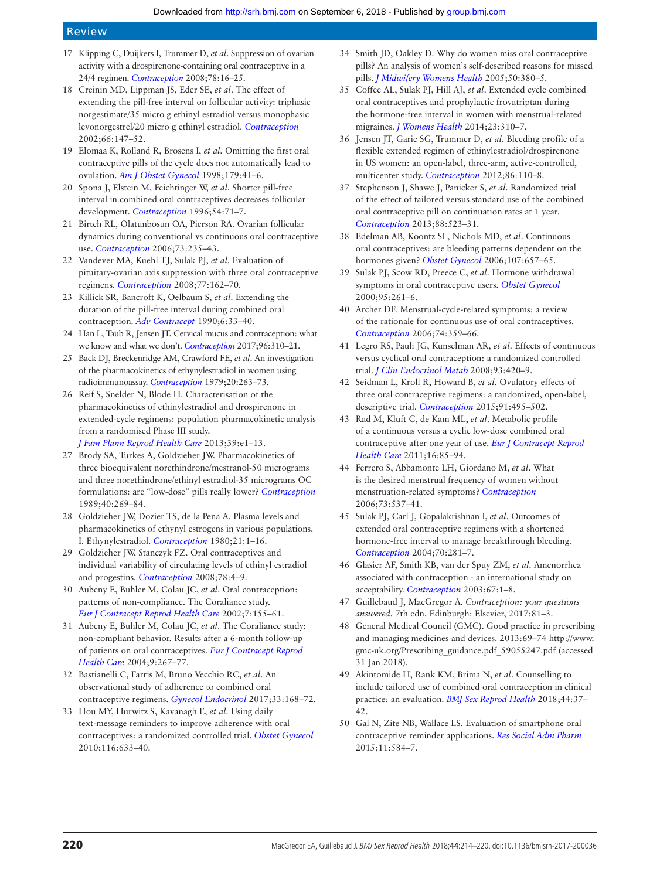# Review

- <span id="page-6-0"></span>17 Klipping C, Duijkers I, Trummer D, *et al*. Suppression of ovarian activity with a drospirenone-containing oral contraceptive in a 24/4 regimen. *[Contraception](http://dx.doi.org/10.1016/j.contraception.2008.02.019)* 2008;78:16–25.
- <span id="page-6-1"></span>18 Creinin MD, Lippman JS, Eder SE, *et al*. The effect of extending the pill-free interval on follicular activity: triphasic norgestimate/35 micro g ethinyl estradiol versus monophasic levonorgestrel/20 micro g ethinyl estradiol. *[Contraception](http://www.ncbi.nlm.nih.gov/pubmed/12384201)* 2002;66:147–52.
- <span id="page-6-2"></span>19 Elomaa K, Rolland R, Brosens I, *et al*. Omitting the first oral contraceptive pills of the cycle does not automatically lead to ovulation. *[Am J Obstet Gynecol](http://dx.doi.org/10.1016/S0002-9378(98)70249-2)* 1998;179:41–6.
- 20 Spona J, Elstein M, Feichtinger W, *et al*. Shorter pill-free interval in combined oral contraceptives decreases follicular development. *[Contraception](http://dx.doi.org/10.1016/0010-7824(96)00137-0)* 1996;54:71–7.
- <span id="page-6-3"></span>21 Birtch RL, Olatunbosun OA, Pierson RA. Ovarian follicular dynamics during conventional vs continuous oral contraceptive use. *[Contraception](http://dx.doi.org/10.1016/j.contraception.2005.09.009)* 2006;73:235–43.
- 22 Vandever MA, Kuehl TJ, Sulak PJ, *et al*. Evaluation of pituitary-ovarian axis suppression with three oral contraceptive regimens. *[Contraception](http://dx.doi.org/10.1016/j.contraception.2007.11.005)* 2008;77:162–70.
- <span id="page-6-4"></span>23 Killick SR, Bancroft K, Oelbaum S, *et al*. Extending the duration of the pill-free interval during combined oral contraception. *[Adv Contracept](http://dx.doi.org/10.1007/BF01849485)* 1990;6:33–40.
- <span id="page-6-5"></span>24 Han L, Taub R, Jensen JT. Cervical mucus and contraception: what we know and what we don't. *[Contraception](http://dx.doi.org/10.1016/j.contraception.2017.07.168)* 2017;96:310–21.
- 25 Back DJ, Breckenridge AM, Crawford FE, *et al*. An investigation of the pharmacokinetics of ethynylestradiol in women using radioimmunoassay. *[Contraception](http://dx.doi.org/10.1016/0010-7824(79)90098-2)* 1979;20:263–73.
- <span id="page-6-6"></span>26 Reif S, Snelder N, Blode H. Characterisation of the pharmacokinetics of ethinylestradiol and drospirenone in extended-cycle regimens: population pharmacokinetic analysis from a randomised Phase III study.
	- *[J Fam Plann Reprod Health Care](http://dx.doi.org/10.1136/jfprhc-2012-100397)* 2013;39:e1–13.
- <span id="page-6-7"></span>27 Brody SA, Turkes A, Goldzieher JW. Pharmacokinetics of three bioequivalent norethindrone/mestranol-50 micrograms and three norethindrone/ethinyl estradiol-35 micrograms OC formulations: are "low-dose" pills really lower? *[Contraception](http://dx.doi.org/10.1016/0010-7824(89)90092-9)* 1989;40:269–84.
- <span id="page-6-8"></span>28 Goldzieher JW, Dozier TS, de la Pena A. Plasma levels and pharmacokinetics of ethynyl estrogens in various populations. I. Ethynylestradiol. *[Contraception](http://dx.doi.org/10.1016/0010-7824(80)90134-1)* 1980;21:1–16.
- <span id="page-6-9"></span>29 Goldzieher JW, Stanczyk FZ. Oral contraceptives and individual variability of circulating levels of ethinyl estradiol and progestins. *[Contraception](http://dx.doi.org/10.1016/j.contraception.2008.02.020)* 2008;78:4–9.
- <span id="page-6-10"></span>30 Aubeny E, Buhler M, Colau JC, *et al*. Oral contraception: patterns of non-compliance. The Coraliance study. *[Eur J Contracept Reprod Health Care](http://dx.doi.org/10.1080/ejc.7.3.155.161)* 2002;7:155–61.
- <span id="page-6-11"></span>31 Aubeny E, Buhler M, Colau JC, *et al*. The Coraliance study: non-compliant behavior. Results after a 6-month follow-up of patients on oral contraceptives. *[Eur J Contracept Reprod](http://dx.doi.org/10.1080/13625180400017776)  [Health Care](http://dx.doi.org/10.1080/13625180400017776)* 2004;9:267–77.
- <span id="page-6-12"></span>32 Bastianelli C, Farris M, Bruno Vecchio RC, *et al*. An observational study of adherence to combined oral contraceptive regimens. *[Gynecol Endocrinol](http://dx.doi.org/10.1080/09513590.2016.1240776)* 2017;33:168–72.
- <span id="page-6-13"></span>33 Hou MY, Hurwitz S, Kavanagh E, *et al*. Using daily text-message reminders to improve adherence with oral contraceptives: a randomized controlled trial. *[Obstet Gynecol](http://dx.doi.org/10.1097/AOG.0b013e3181eb6b0f)* 2010;116:633–40.
- <span id="page-6-14"></span>34 Smith JD, Oakley D. Why do women miss oral contraceptive pills? An analysis of women's self-described reasons for missed pills. *[J Midwifery Womens Health](http://dx.doi.org/10.1016/j.jmwh.2005.01.011)* 2005;50:380–5.
- <span id="page-6-15"></span>35 Coffee AL, Sulak PJ, Hill AJ, *et al*. Extended cycle combined oral contraceptives and prophylactic frovatriptan during the hormone-free interval in women with menstrual-related migraines. *[J Womens Health](http://dx.doi.org/10.1089/jwh.2013.4485)* 2014;23:310–7.
- 36 Jensen JT, Garie SG, Trummer D, *et al*. Bleeding profile of a flexible extended regimen of ethinylestradiol/drospirenone in US women: an open-label, three-arm, active-controlled, multicenter study. *[Contraception](http://dx.doi.org/10.1016/j.contraception.2011.12.009)* 2012;86:110–8.
- 37 Stephenson J, Shawe J, Panicker S, *et al*. Randomized trial of the effect of tailored versus standard use of the combined oral contraceptive pill on continuation rates at 1 year. *[Contraception](http://dx.doi.org/10.1016/j.contraception.2013.03.014)* 2013;88:523–31.
- <span id="page-6-16"></span>38 Edelman AB, Koontz SL, Nichols MD, *et al*. Continuous oral contraceptives: are bleeding patterns dependent on the hormones given? *[Obstet Gynecol](http://dx.doi.org/10.1097/01.AOG.0000199950.64545.16)* 2006;107:657–65.
- <span id="page-6-17"></span>39 Sulak PJ, Scow RD, Preece C, *et al*. Hormone withdrawal symptoms in oral contraceptive users. *[Obstet Gynecol](http://www.ncbi.nlm.nih.gov/pubmed/10674591)* 2000;95:261–6.
- <span id="page-6-18"></span>40 Archer DF. Menstrual-cycle-related symptoms: a review of the rationale for continuous use of oral contraceptives. *[Contraception](http://dx.doi.org/10.1016/j.contraception.2006.06.003)* 2006;74:359–66.
- 41 Legro RS, Pauli JG, Kunselman AR, *et al*. Effects of continuous versus cyclical oral contraception: a randomized controlled trial. *[J Clin Endocrinol Metab](http://dx.doi.org/10.1210/jc.2007-2287)* 2008;93:420–9.
- 42 Seidman L, Kroll R, Howard B, *et al*. Ovulatory effects of three oral contraceptive regimens: a randomized, open-label, descriptive trial. *[Contraception](http://dx.doi.org/10.1016/j.contraception.2015.03.001)* 2015;91:495–502.
- <span id="page-6-19"></span>43 Rad M, Kluft C, de Kam ML, *et al*. Metabolic profile of a continuous versus a cyclic low-dose combined oral contraceptive after one year of use. *[Eur J Contracept Reprod](http://dx.doi.org/10.3109/13625187.2011.556761)  [Health Care](http://dx.doi.org/10.3109/13625187.2011.556761)* 2011;16:85–94.
- <span id="page-6-20"></span>44 Ferrero S, Abbamonte LH, Giordano M, *et al*. What is the desired menstrual frequency of women without menstruation-related symptoms? *[Contraception](http://dx.doi.org/10.1016/j.contraception.2006.01.004)* 2006;73:537–41.
- <span id="page-6-21"></span>45 Sulak PJ, Carl J, Gopalakrishnan I, *et al*. Outcomes of extended oral contraceptive regimens with a shortened hormone-free interval to manage breakthrough bleeding. *[Contraception](http://dx.doi.org/10.1016/j.contraception.2004.04.007)* 2004;70:281–7.
- <span id="page-6-22"></span>46 Glasier AF, Smith KB, van der Spuy ZM, *et al*. Amenorrhea associated with contraception - an international study on acceptability. *[Contraception](http://dx.doi.org/10.1016/S0010-7824(02)00474-2)* 2003;67:1–8.
- <span id="page-6-23"></span>47 Guillebaud J, MacGregor A. *Contraception: your questions answered*. 7th edn. Edinburgh: Elsevier, 2017:81–3.
- <span id="page-6-24"></span>48 General Medical Council (GMC). Good practice in prescribing and managing medicines and devices. 2013:69–74 [http://www.](http://www.gmc-uk.org/Prescribing_guidance.pdf_59055247.pdf) [gmc-uk.org/Prescribing\\_guidance.pdf\\_59055247.pdf](http://www.gmc-uk.org/Prescribing_guidance.pdf_59055247.pdf) (accessed 31 Jan 2018).
- <span id="page-6-25"></span>49 Akintomide H, Rank KM, Brima N, *et al*. Counselling to include tailored use of combined oral contraception in clinical practice: an evaluation. *[BMJ Sex Reprod Health](http://dx.doi.org/10.1136/jfprhc-2017-101736)* 2018;44:37– 42.
- <span id="page-6-26"></span>50 Gal N, Zite NB, Wallace LS. Evaluation of smartphone oral contraceptive reminder applications. *[Res Social Adm Pharm](http://dx.doi.org/10.1016/j.sapharm.2014.11.001)* 2015;11:584–7.